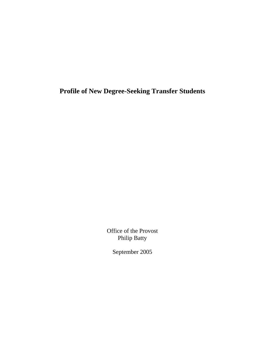**Profile of New Degree-Seeking Transfer Students** 

Office of the Provost Philip Batty

September 2005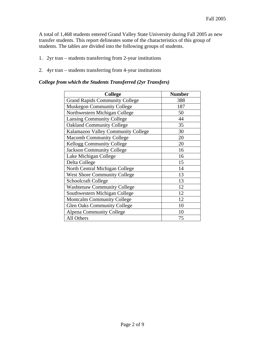A total of 1,468 students entered Grand Valley State University during Fall 2005 as new transfer students. This report delineates some of the characteristics of this group of students. The tables are divided into the following groups of students.

- 1. 2yr tran students transferring from 2-year institutions
- 2. 4yr tran students transferring from 4-year institutions

#### *College from which the Students Transferred (2yr Transfers)*

| <b>College</b>                        | <b>Number</b> |
|---------------------------------------|---------------|
| <b>Grand Rapids Community College</b> | 388           |
| <b>Muskegon Community College</b>     | 187           |
| Northwestern Michigan College         | 50            |
| <b>Lansing Community College</b>      | 44            |
| <b>Oakland Community College</b>      | 35            |
| Kalamazoo Valley Community College    | 30            |
| <b>Macomb Community College</b>       | 20            |
| <b>Kellogg Community College</b>      | 20            |
| <b>Jackson Community College</b>      | 16            |
| Lake Michigan College                 | 16            |
| Delta College                         | 15            |
| North Central Michigan College        | 14            |
| <b>West Shore Community College</b>   | 13            |
| <b>Schoolcraft College</b>            | 13            |
| <b>Washtenaw Community College</b>    | 12            |
| Southwestern Michigan College         | 12            |
| <b>Montcalm Community College</b>     | 12            |
| <b>Glen Oaks Community College</b>    | 10            |
| <b>Alpena Community College</b>       | 10            |
| All Others                            | 75            |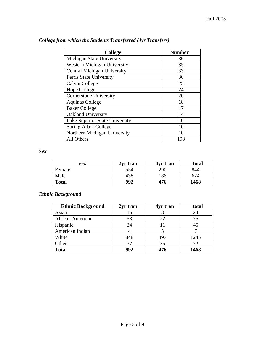| <b>College</b>                     | <b>Number</b> |
|------------------------------------|---------------|
| Michigan State University          | 36            |
| <b>Western Michigan University</b> | 35            |
| <b>Central Michigan University</b> | 33            |
| Ferris State University            | 30            |
| Calvin College                     | 25            |
| <b>Hope College</b>                | 24            |
| <b>Cornerstone University</b>      | 20            |
| <b>Aquinas College</b>             | 18            |
| <b>Baker College</b>               | 17            |
| Oakland University                 | 14            |
| Lake Superior State University     | 10            |
| Spring Arbor College               | 10            |
| Northern Michigan University       | 10            |
| All Others                         | 193           |

### *College from which the Students Transferred (4yr Transfers)*

*Sex* 

| sex          | 2yr tran | 4yr tran | total |
|--------------|----------|----------|-------|
| Female       | 554      | 290      | 844   |
| Male         | 438      | 186      | 624   |
| <b>Total</b> | 992      | 476      | 1468  |

### *Ethnic Background*

| <b>Ethnic Background</b> | 2yr tran | 4yr tran | total |
|--------------------------|----------|----------|-------|
| Asian                    | 16       |          | 24    |
| African American         | 53       |          | 75    |
| Hispanic                 | 34       |          | 45    |
| American Indian          |          |          |       |
| White                    | 848      | 397      | 1245  |
| Other                    | 37       | 35       |       |
| <b>Total</b>             | 992      | 476      | 1468  |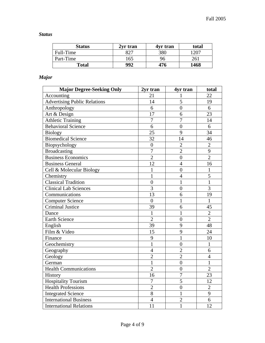| <b>Status</b> | 2yr tran | 4yr tran | total |
|---------------|----------|----------|-------|
| Full-Time     |          | 380      | 1207  |
| Part-Time     | 165      | 96       | 261   |
| <b>Total</b>  | 992      | 476      | 1468  |

# *Major*

| <b>Major Degree-Seeking Only</b>    | 2yr tran       | 4yr tran         | total          |
|-------------------------------------|----------------|------------------|----------------|
| Accounting                          | 21             | 1                | 22             |
| <b>Advertising Public Relations</b> | 14             | 5                | 19             |
| Anthropology                        | 6              | $\overline{0}$   | 6              |
| Art & Design                        | 17             | 6                | 23             |
| <b>Athletic Training</b>            | $\overline{7}$ | $\overline{7}$   | 14             |
| <b>Behavioral Science</b>           | 6              | $\overline{0}$   | 6              |
| <b>Biology</b>                      | 25             | 9                | 34             |
| <b>Biomedical Science</b>           | 32             | 14               | 46             |
| Biopsychology                       | $\overline{0}$ | $\overline{2}$   | $\overline{2}$ |
| <b>Broadcasting</b>                 | $\overline{7}$ | $\overline{2}$   | 9              |
| <b>Business Economics</b>           | $\overline{2}$ | $\overline{0}$   | $\overline{2}$ |
| <b>Business General</b>             | 12             | $\overline{4}$   | 16             |
| Cell & Molecular Biology            | $\mathbf{1}$   | $\overline{0}$   | $\mathbf{1}$   |
| Chemistry                           | $\mathbf{1}$   | $\overline{4}$   | 5              |
| <b>Classical Tradition</b>          | $\overline{0}$ | $\mathbf{1}$     | $\mathbf{1}$   |
| <b>Clinical Lab Sciences</b>        | $\overline{3}$ | $\overline{0}$   | $\overline{3}$ |
| Communications                      | 13             | 6                | 19             |
| <b>Computer Science</b>             | $\overline{0}$ | $\mathbf{1}$     | $\mathbf{1}$   |
| <b>Criminal Justice</b>             | 39             | 6                | 45             |
| Dance                               | $\overline{1}$ | $\mathbf{1}$     | $\overline{2}$ |
| <b>Earth Science</b>                | $\overline{2}$ | $\overline{0}$   | $\overline{2}$ |
| English                             | 39             | 9                | 48             |
| Film & Video                        | 15             | 9                | 24             |
| Finance                             | 9              | $\mathbf{1}$     | 10             |
| Geochemistry                        | $\mathbf{1}$   | $\overline{0}$   | $\mathbf{1}$   |
| Geography                           | $\overline{4}$ | $\overline{2}$   | 6              |
| Geology                             | $\overline{2}$ | $\overline{2}$   | $\overline{4}$ |
| German                              | $\overline{1}$ | $\overline{0}$   | $\mathbf{1}$   |
| <b>Health Communications</b>        | $\overline{2}$ | $\overline{0}$   | $\overline{2}$ |
| History                             | 16             | $\overline{7}$   | 23             |
| <b>Hospitality Tourism</b>          | $\overline{7}$ | 5                | 12             |
| <b>Health Professions</b>           | $\overline{2}$ | $\boldsymbol{0}$ | $\overline{2}$ |
| <b>Integrated Science</b>           | 8              | $\mathbf{1}$     | 9              |
| <b>International Business</b>       | $\overline{4}$ | $\overline{2}$   | 6              |
| <b>International Relations</b>      | 11             | $\mathbf{1}$     | 12             |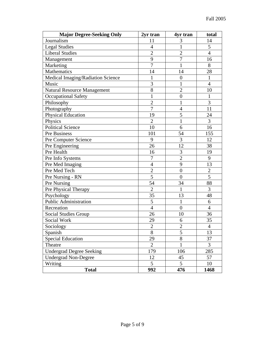| <b>Major Degree-Seeking Only</b>   | 2yr tran       | 4yr tran         | total          |
|------------------------------------|----------------|------------------|----------------|
| Journalism                         | 11             | 3                | 14             |
| <b>Legal Studies</b>               | $\overline{4}$ | $\mathbf{1}$     | 5              |
| <b>Liberal Studies</b>             | $\overline{2}$ | $\overline{2}$   | $\overline{4}$ |
| Management                         | 9              | $\overline{7}$   | 16             |
| Marketing                          | $\overline{7}$ | $\mathbf{1}$     | 8              |
| Mathematics                        | 14             | 14               | 28             |
| Medical Imaging/Radiation Science  | $\mathbf{1}$   | $\boldsymbol{0}$ | $\mathbf{1}$   |
| Music                              | 3              | 1                | $\overline{4}$ |
| <b>Natural Resource Management</b> | 8              | $\overline{2}$   | 10             |
| <b>Occupational Safety</b>         | $\mathbf{1}$   | $\overline{0}$   | $\mathbf{1}$   |
| Philosophy                         | $\overline{2}$ | $\mathbf{1}$     | 3              |
| Photography                        | $\overline{7}$ | $\overline{4}$   | 11             |
| <b>Physical Education</b>          | 19             | 5                | 24             |
| Physics                            | $\overline{2}$ | $\mathbf{1}$     | $\overline{3}$ |
| <b>Political Science</b>           | 10             | 6                | 16             |
| Pre Business                       | 101            | 54               | 155            |
| Pre Computer Science               | 9              | 3                | 12             |
| Pre Engineering                    | 26             | 12               | 38             |
| Pre Health                         | 16             | 3                | 19             |
| Pre Info Systems                   | $\overline{7}$ | $\overline{c}$   | 9              |
| Pre Med Imaging                    | $\overline{4}$ | 9                | 13             |
| Pre Med Tech                       | $\overline{2}$ | $\overline{0}$   | $\overline{2}$ |
| Pre Nursing - RN                   | $\overline{5}$ | $\overline{0}$   | $\overline{5}$ |
| Pre Nursing                        | 54             | 34               | 88             |
| Pre Physical Therapy               | $\overline{2}$ | $\mathbf{1}$     | 3              |
| Psychology                         | 35             | 13               | 48             |
| Public Administration              | $\overline{5}$ | $\mathbf{1}$     | 6              |
| Recreation                         | $\overline{4}$ | $\overline{0}$   | $\overline{4}$ |
| <b>Social Studies Group</b>        | 26             | 10               | 36             |
| Social Work                        | 29             | 6                | 35             |
| Sociology                          | $\overline{2}$ | $\overline{c}$   | 4              |
| Spanish                            | 8              | $\overline{5}$   | 13             |
| <b>Special Education</b>           | 29             | 8                | 37             |
| Theatre                            | $\overline{2}$ |                  | $\overline{3}$ |
| <b>Undergrad Degree Seeking</b>    | 179            | 106              | 285            |
| <b>Undergrad Non-Degree</b>        | 12             | 45               | 57             |
| Writing                            | 5              | 5                | 10             |
| <b>Total</b>                       | 992            | 476              | 1468           |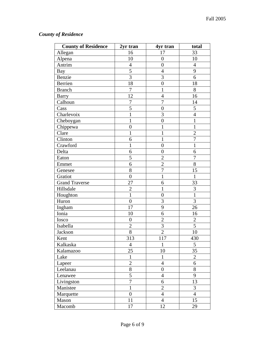## *County of Residence*

| <b>County of Residence</b> | 2yr tran         | 4yr tran         | total            |
|----------------------------|------------------|------------------|------------------|
| Allegan                    | 16               | 17               | 33               |
| Alpena                     | 10               | $\boldsymbol{0}$ | 10               |
| Antrim                     | $\overline{4}$   | $\overline{0}$   | $\overline{4}$   |
| Bay                        | $\overline{5}$   | $\overline{4}$   | 9                |
| Benzie                     | $\overline{3}$   | 3                | 6                |
| Berrien                    | 18               | $\boldsymbol{0}$ | 18               |
| <b>Branch</b>              | $\overline{7}$   | $\mathbf{1}$     | 8                |
| <b>Barry</b>               | 12               | $\overline{4}$   | 16               |
| Calhoun                    | $\overline{7}$   | $\overline{7}$   | 14               |
| Cass                       | 5                | $\boldsymbol{0}$ | 5                |
| Charlevoix                 | $\mathbf{1}$     | 3                | $\overline{4}$   |
| Cheboygan                  | $\mathbf{1}$     | $\boldsymbol{0}$ | $\mathbf{1}$     |
| Chippewa                   | $\boldsymbol{0}$ | $\mathbf 1$      | $\mathbf{1}$     |
| Clare                      | $\mathbf{1}$     | $\mathbf{1}$     | $\overline{2}$   |
| Clinton                    | 6                | $\mathbf{1}$     | $\overline{7}$   |
| Crawford                   | $\mathbf{1}$     | $\boldsymbol{0}$ | $\mathbf{1}$     |
| Delta                      | 6                | $\boldsymbol{0}$ | 6                |
| Eaton                      | 5                | $\overline{2}$   | $\boldsymbol{7}$ |
| Emmet                      | 6                | $\overline{2}$   | 8                |
| Genesee                    | $\overline{8}$   | $\overline{7}$   | 15               |
| Gratiot                    | $\overline{0}$   | $\mathbf{1}$     | $\mathbf{1}$     |
| <b>Grand Traverse</b>      | 27               | 6                | 33               |
| Hillsdale                  | $\overline{2}$   | $\mathbf{1}$     | 3                |
| Houghton                   | $\mathbf{1}$     | $\overline{0}$   | $\mathbf{1}$     |
| Huron                      | $\boldsymbol{0}$ | 3                | 3                |
| Ingham                     | 17               | 9                | 26               |
| Ionia                      | 10               | 6                | 16               |
| Iosco                      | $\boldsymbol{0}$ | $\overline{2}$   | $\mathbf{2}$     |
| Isabella                   | $\overline{2}$   | 3                | 5                |
| Jackson                    | 8                | $\overline{2}$   | 10               |
| Kent                       | 313              | 117              | 430              |
| Kalkaska                   | $\overline{4}$   | $\mathbf{1}$     | 5                |
| Kalamazoo                  | 25               | 10               | 35               |
| Lake                       | $\mathbf{1}$     | $\mathbf{1}$     | $\overline{2}$   |
| Lapeer                     | $\overline{2}$   | $\overline{4}$   | 6                |
| Leelanau                   | $\overline{8}$   | $\boldsymbol{0}$ | 8                |
| Lenawee                    | $\overline{5}$   | $\overline{4}$   | 9                |
| Livingston                 | $\overline{7}$   | 6                | 13               |
| Manistee                   | $\mathbf{1}$     | $\overline{2}$   | $\overline{3}$   |
| Marquette                  | $\overline{0}$   | $\overline{4}$   | $\overline{4}$   |
| Mason                      | 11               | $\overline{4}$   | 15               |
| Macomb                     | 17               | 12               | 29               |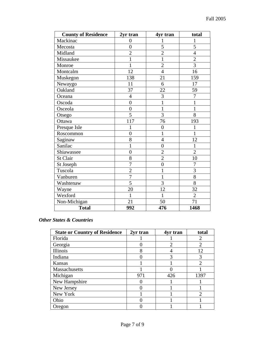| <b>County of Residence</b> | 2yr tran       | 4yr tran         | total          |
|----------------------------|----------------|------------------|----------------|
| Mackinac                   | $\overline{0}$ | 1                | $\mathbf 1$    |
| Mecosta                    | $\overline{0}$ | 5                | 5              |
| Midland                    | $\overline{2}$ | $\overline{2}$   | $\overline{4}$ |
| Missaukee                  | $\mathbf{1}$   | $\mathbf 1$      | $\overline{2}$ |
| Monroe                     | $\mathbf{1}$   | $\overline{2}$   | $\overline{3}$ |
| Montcalm                   | 12             | $\overline{4}$   | 16             |
| Muskegon                   | 138            | 21               | 159            |
| Newaygo                    | 11             | 6                | 17             |
| Oakland                    | 37             | 22               | 59             |
| Oceana                     | $\overline{4}$ | 3                | $\overline{7}$ |
| Oscoda                     | $\overline{0}$ | $\mathbf{1}$     | $\mathbf 1$    |
| Osceola                    | $\overline{0}$ | 1                | 1              |
| Otsego                     | 5              | 3                | 8              |
| Ottawa                     | 117            | 76               | 193            |
| Presque Isle               | 1              | $\boldsymbol{0}$ | 1              |
| Roscommon                  | $\overline{0}$ | $\mathbf 1$      | $\overline{1}$ |
| Saginaw                    | 8              | $\overline{4}$   | 12             |
| Sanilac                    | $\mathbf{1}$   | $\overline{0}$   | $\mathbf{1}$   |
| Shiawassee                 | $\overline{0}$ | $\overline{2}$   | $\overline{2}$ |
| St Clair                   | 8              | $\overline{c}$   | 10             |
| St Joseph                  | $\overline{7}$ | $\overline{0}$   | $\overline{7}$ |
| Tuscola                    | $\overline{2}$ | $\mathbf 1$      | $\overline{3}$ |
| Vanburen                   | $\overline{7}$ | $\mathbf{1}$     | 8              |
| Washtenaw                  | 5              | 3                | 8              |
| Wayne                      | 20             | 12               | 32             |
| Wexford                    | $\mathbf 1$    | $\mathbf{1}$     | $\overline{2}$ |
| Non-Michigan               | 21             | 50               | 71             |
| <b>Total</b>               | 992            | 476              | 1468           |

#### *Other States & Countries*

| <b>State or Country of Residence</b> | 2yr tran | 4yr tran       | total          |
|--------------------------------------|----------|----------------|----------------|
| Florida                              |          |                | 2              |
| Georgia                              |          | $\overline{2}$ | $\overline{2}$ |
| Illinois                             | 8        |                | 12             |
| Indiana                              |          | 3              | 3              |
| Kansas                               |          |                | $\overline{c}$ |
| Massachusetts                        |          |                |                |
| Michigan                             | 971      | 426            | 1397           |
| New Hampshire                        |          |                |                |
| New Jersey                           |          |                |                |
| New York                             |          |                | $\mathcal{P}$  |
| Ohio                                 |          |                |                |
| Oregon                               |          |                |                |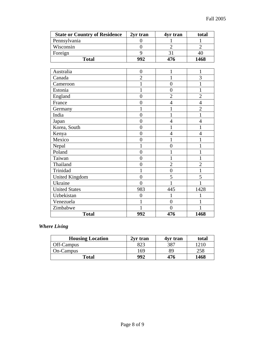| <b>State or Country of Residence</b> | 2yr tran       | 4yr tran         | total          |
|--------------------------------------|----------------|------------------|----------------|
| Pennsylvania                         | $\overline{0}$ | 1                | 1              |
| Wisconsin                            | $\overline{0}$ | $\overline{2}$   | $\overline{2}$ |
| Foreign                              | 9              | 31               | 40             |
| <b>Total</b>                         | 992            | 476              | 1468           |
|                                      |                |                  |                |
| Australia                            | $\overline{0}$ | 1                | $\mathbf{1}$   |
| Canada                               | $\overline{2}$ | 1                | 3              |
| Cameroon                             | $\mathbf{1}$   | $\overline{0}$   | $\mathbf{1}$   |
| Estonia                              | $\mathbf{1}$   | $\boldsymbol{0}$ | $\mathbf{1}$   |
| England                              | $\overline{0}$ | $\overline{2}$   | $\overline{2}$ |
| France                               | $\overline{0}$ | $\overline{4}$   | $\overline{4}$ |
| Germany                              | 1              | $\mathbf{1}$     | $\overline{2}$ |
| India                                | $\overline{0}$ | $\mathbf 1$      | $\mathbf{1}$   |
| Japan                                | $\overline{0}$ | $\overline{4}$   | $\overline{4}$ |
| Korea, South                         | $\overline{0}$ | 1                | $\mathbf{1}$   |
| Kenya                                | $\overline{0}$ | $\overline{4}$   | $\overline{4}$ |
| Mexico                               | $\overline{0}$ | $\mathbf{1}$     | $\mathbf{1}$   |
| Nepal                                | 1              | $\overline{0}$   | $\mathbf{1}$   |
| Poland                               | $\overline{0}$ | 1                | $\mathbf{1}$   |
| Taiwan                               | $\overline{0}$ |                  | 1              |
| Thailand                             | $\overline{0}$ | $\overline{2}$   | $\overline{2}$ |
| Trinidad                             | 1              | $\overline{0}$   | $\mathbf{1}$   |
| <b>United Kingdom</b>                | $\overline{0}$ | 5                | 5              |
| Ukraine                              | $\overline{0}$ | 1                | 1              |
| <b>United States</b>                 | 983            | 445              | 1428           |
| Uzbekistan                           | $\overline{0}$ | 1                | 1              |
| Venezuela                            | $\mathbf{1}$   | $\overline{0}$   | $\mathbf{1}$   |
| Zimbabwe                             | 1              | $\theta$         | 1              |
| <b>Total</b>                         | 992            | 476              | 1468           |

### *Where Living*

| <b>Housing Location</b> | 2yr tran | 4yr tran | total |
|-------------------------|----------|----------|-------|
| Off-Campus              |          | 387      | 210   |
| On-Campus               | 169      | 89       | 258   |
| Total                   | 992      | 476      | 1468  |